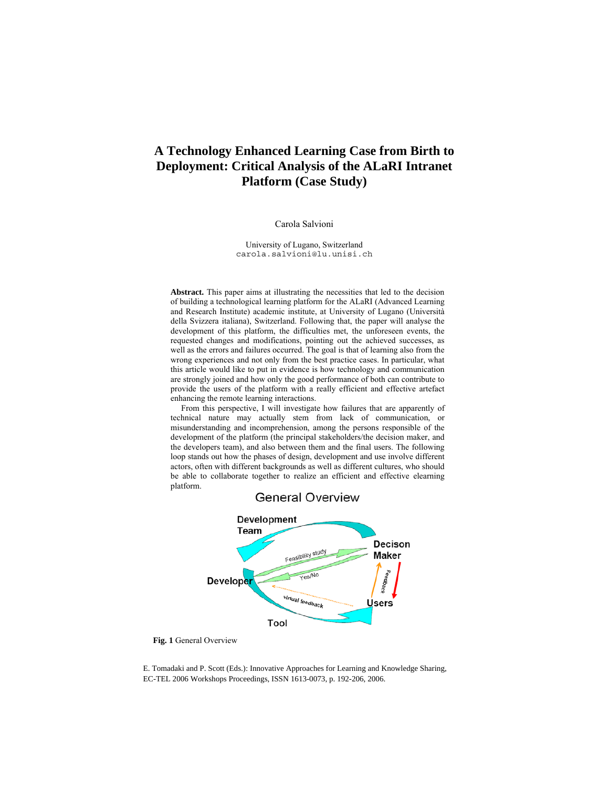# **A Technology Enhanced Learning Case from Birth to Deployment: Critical Analysis of the ALaRI Intranet Platform (Case Study)**

#### Carola Salvioni

University of Lugano, Switzerland carola.salvioni@lu.unisi.ch

**Abstract.** This paper aims at illustrating the necessities that led to the decision of building a technological learning platform for the ALaRI (Advanced Learning and Research Institute) academic institute, at University of Lugano (Università della Svizzera italiana), Switzerland. Following that, the paper will analyse the development of this platform, the difficulties met, the unforeseen events, the requested changes and modifications, pointing out the achieved successes, as well as the errors and failures occurred. The goal is that of learning also from the wrong experiences and not only from the best practice cases. In particular, what this article would like to put in evidence is how technology and communication are strongly joined and how only the good performance of both can contribute to provide the users of the platform with a really efficient and effective artefact enhancing the remote learning interactions.

From this perspective, I will investigate how failures that are apparently of technical nature may actually stem from lack of communication, or misunderstanding and incomprehension, among the persons responsible of the development of the platform (the principal stakeholders/the decision maker, and the developers team), and also between them and the final users. The following loop stands out how the phases of design, development and use involve different actors, often with different backgrounds as well as different cultures, who should be able to collaborate together to realize an efficient and effective elearning platform.

**General Overview** 



#### **Fig. 1** General Overview

E. Tomadaki and P. Scott (Eds.): Innovative Approaches for Learning and Knowledge Sharing, EC-TEL 2006 Workshops Proceedings, ISSN 1613-0073, p. 192-206, 2006.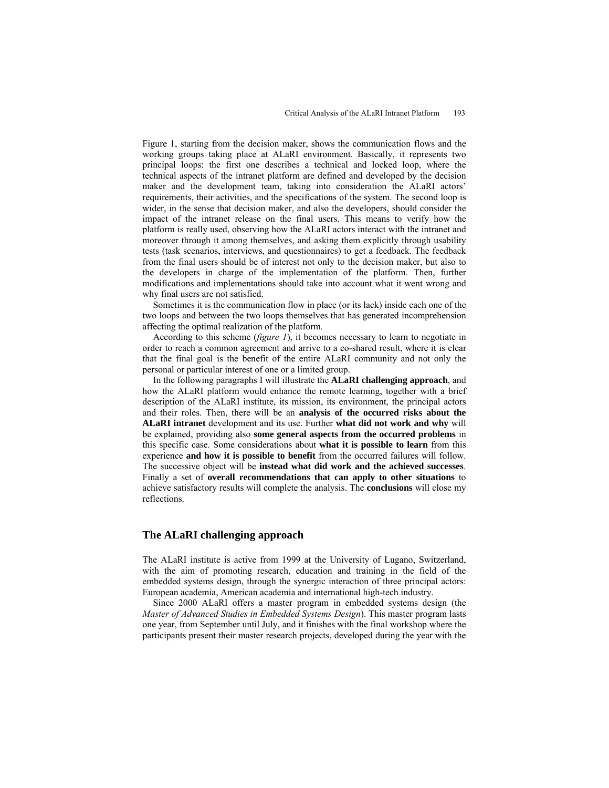Figure 1, starting from the decision maker, shows the communication flows and the working groups taking place at ALaRI environment. Basically, it represents two principal loops: the first one describes a technical and locked loop, where the technical aspects of the intranet platform are defined and developed by the decision maker and the development team, taking into consideration the ALaRI actors' requirements, their activities, and the specifications of the system. The second loop is wider, in the sense that decision maker, and also the developers, should consider the impact of the intranet release on the final users. This means to verify how the platform is really used, observing how the ALaRI actors interact with the intranet and moreover through it among themselves, and asking them explicitly through usability tests (task scenarios, interviews, and questionnaires) to get a feedback. The feedback from the final users should be of interest not only to the decision maker, but also to the developers in charge of the implementation of the platform. Then, further modifications and implementations should take into account what it went wrong and why final users are not satisfied.

Sometimes it is the communication flow in place (or its lack) inside each one of the two loops and between the two loops themselves that has generated incomprehension affecting the optimal realization of the platform.

According to this scheme (*figure 1*), it becomes necessary to learn to negotiate in order to reach a common agreement and arrive to a co-shared result, where it is clear that the final goal is the benefit of the entire ALaRI community and not only the personal or particular interest of one or a limited group.

In the following paragraphs I will illustrate the **ALaRI challenging approach**, and how the ALaRI platform would enhance the remote learning, together with a brief description of the ALaRI institute, its mission, its environment, the principal actors and their roles. Then, there will be an **analysis of the occurred risks about the ALaRI intranet** development and its use. Further **what did not work and why** will be explained, providing also **some general aspects from the occurred problems** in this specific case. Some considerations about **what it is possible to learn** from this experience **and how it is possible to benefit** from the occurred failures will follow. The successive object will be **instead what did work and the achieved successes**. Finally a set of **overall recommendations that can apply to other situations** to achieve satisfactory results will complete the analysis. The **conclusions** will close my reflections.

### **The ALaRI challenging approach**

The ALaRI institute is active from 1999 at the University of Lugano, Switzerland, with the aim of promoting research, education and training in the field of the embedded systems design, through the synergic interaction of three principal actors: European academia, American academia and international high-tech industry.

Since 2000 ALaRI offers a master program in embedded systems design (the *Master of Advanced Studies in Embedded Systems Design*). This master program lasts one year, from September until July, and it finishes with the final workshop where the participants present their master research projects, developed during the year with the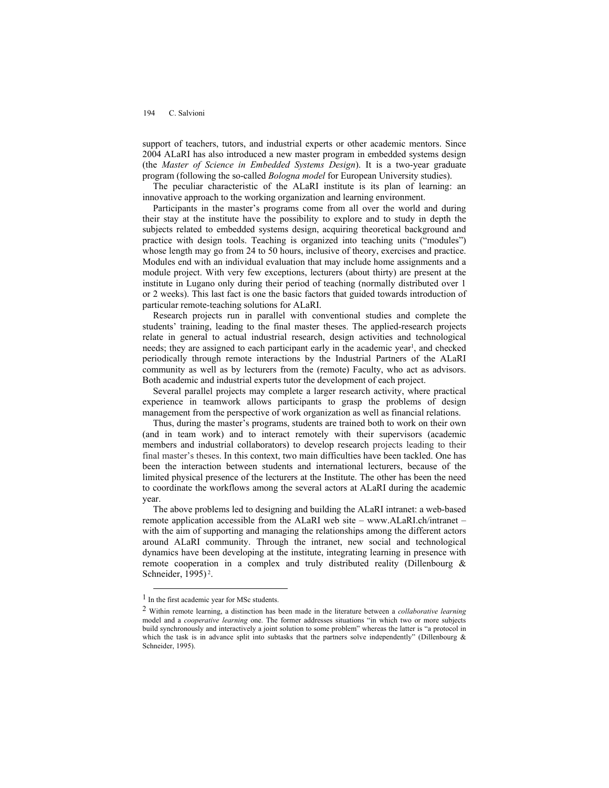support of teachers, tutors, and industrial experts or other academic mentors. Since 2004 ALaRI has also introduced a new master program in embedded systems design (the *Master of Science in Embedded Systems Design*). It is a two-year graduate program (following the so-called *Bologna model* for European University studies).

The peculiar characteristic of the ALaRI institute is its plan of learning: an innovative approach to the working organization and learning environment.

Participants in the master's programs come from all over the world and during their stay at the institute have the possibility to explore and to study in depth the subjects related to embedded systems design, acquiring theoretical background and practice with design tools. Teaching is organized into teaching units ("modules") whose length may go from 24 to 50 hours, inclusive of theory, exercises and practice. Modules end with an individual evaluation that may include home assignments and a module project. With very few exceptions, lecturers (about thirty) are present at the institute in Lugano only during their period of teaching (normally distributed over 1 or 2 weeks). This last fact is one the basic factors that guided towards introduction of particular remote-teaching solutions for ALaRI.

Research projects run in parallel with conventional studies and complete the students' training, leading to the final master theses. The applied-research projects relate in general to actual industrial research, design activities and technological needs; they are assigned to each participant early in the academic year<sup>1</sup>, and checked periodically through remote interactions by the Industrial Partners of the ALaRI community as well as by lecturers from the (remote) Faculty, who act as advisors. Both academic and industrial experts tutor the development of each project.

Several parallel projects may complete a larger research activity, where practical experience in teamwork allows participants to grasp the problems of design management from the perspective of work organization as well as financial relations.

Thus, during the master's programs, students are trained both to work on their own (and in team work) and to interact remotely with their supervisors (academic members and industrial collaborators) to develop research projects leading to their final master's theses. In this context, two main difficulties have been tackled. One has been the interaction between students and international lecturers, because of the limited physical presence of the lecturers at the Institute. The other has been the need to coordinate the workflows among the several actors at ALaRI during the academic year.

The above problems led to designing and building the ALaRI intranet: a web-based remote application accessible from the ALaRI web site – www.ALaRI.ch/intranet – with the aim of supporting and managing the relationships among the different actors around ALaRI community. Through the intranet, new social and technological dynamics have been developing at the institute, integrating learning in presence with remote cooperation in a complex and truly distributed reality (Dillenbourg & Schneider, 1995) 2.

 $<sup>1</sup>$  In the first academic year for MSc students.</sup>

<sup>2</sup> Within remote learning, a distinction has been made in the literature between a *collaborative learning*  model and a *cooperative learning* one. The former addresses situations "in which two or more subjects build synchronously and interactively a joint solution to some problem" whereas the latter is "a protocol in which the task is in advance split into subtasks that the partners solve independently" (Dillenbourg  $\&$ Schneider, 1995).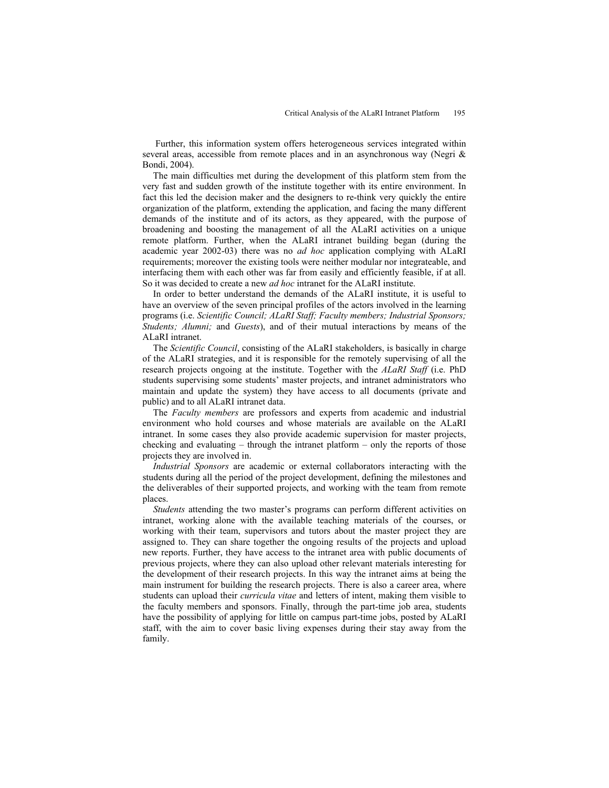Further, this information system offers heterogeneous services integrated within several areas, accessible from remote places and in an asynchronous way (Negri & Bondi, 2004).

The main difficulties met during the development of this platform stem from the very fast and sudden growth of the institute together with its entire environment. In fact this led the decision maker and the designers to re-think very quickly the entire organization of the platform, extending the application, and facing the many different demands of the institute and of its actors, as they appeared, with the purpose of broadening and boosting the management of all the ALaRI activities on a unique remote platform. Further, when the ALaRI intranet building began (during the academic year 2002-03) there was no *ad hoc* application complying with ALaRI requirements; moreover the existing tools were neither modular nor integrateable, and interfacing them with each other was far from easily and efficiently feasible, if at all. So it was decided to create a new *ad hoc* intranet for the ALaRI institute.

In order to better understand the demands of the ALaRI institute, it is useful to have an overview of the seven principal profiles of the actors involved in the learning programs (i.e. *Scientific Council; ALaRI Staff; Faculty members; Industrial Sponsors; Students; Alumni;* and *Guests*), and of their mutual interactions by means of the ALaRI intranet.

The *Scientific Council*, consisting of the ALaRI stakeholders, is basically in charge of the ALaRI strategies, and it is responsible for the remotely supervising of all the research projects ongoing at the institute. Together with the *ALaRI Staff* (i.e. PhD students supervising some students' master projects, and intranet administrators who maintain and update the system) they have access to all documents (private and public) and to all ALaRI intranet data.

The *Faculty members* are professors and experts from academic and industrial environment who hold courses and whose materials are available on the ALaRI intranet. In some cases they also provide academic supervision for master projects, checking and evaluating – through the intranet platform – only the reports of those projects they are involved in.

*Industrial Sponsors* are academic or external collaborators interacting with the students during all the period of the project development, defining the milestones and the deliverables of their supported projects, and working with the team from remote places.

*Students* attending the two master's programs can perform different activities on intranet, working alone with the available teaching materials of the courses, or working with their team, supervisors and tutors about the master project they are assigned to. They can share together the ongoing results of the projects and upload new reports. Further, they have access to the intranet area with public documents of previous projects, where they can also upload other relevant materials interesting for the development of their research projects. In this way the intranet aims at being the main instrument for building the research projects. There is also a career area, where students can upload their *curricula vitae* and letters of intent, making them visible to the faculty members and sponsors. Finally, through the part-time job area, students have the possibility of applying for little on campus part-time jobs, posted by ALaRI staff, with the aim to cover basic living expenses during their stay away from the family.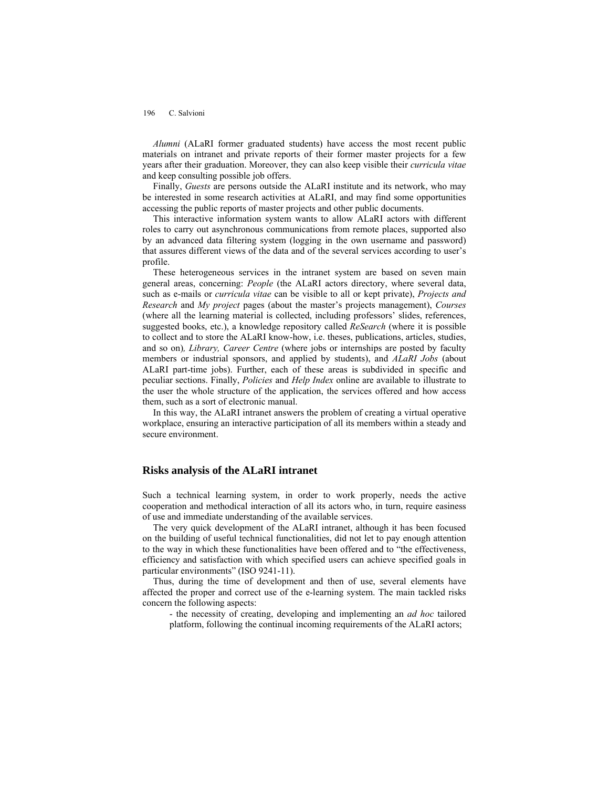*Alumni* (ALaRI former graduated students) have access the most recent public materials on intranet and private reports of their former master projects for a few years after their graduation. Moreover, they can also keep visible their *curricula vitae*  and keep consulting possible job offers.

Finally, *Guests* are persons outside the ALaRI institute and its network, who may be interested in some research activities at ALaRI, and may find some opportunities accessing the public reports of master projects and other public documents.

This interactive information system wants to allow ALaRI actors with different roles to carry out asynchronous communications from remote places, supported also by an advanced data filtering system (logging in the own username and password) that assures different views of the data and of the several services according to user's profile.

These heterogeneous services in the intranet system are based on seven main general areas, concerning: *People* (the ALaRI actors directory, where several data, such as e-mails or *curricula vitae* can be visible to all or kept private), *Projects and Research* and *My project* pages (about the master's projects management), *Courses*  (where all the learning material is collected, including professors' slides, references, suggested books, etc.), a knowledge repository called *ReSearch* (where it is possible to collect and to store the ALaRI know-how, i.e. theses, publications, articles, studies, and so on)*, Library, Career Centre* (where jobs or internships are posted by faculty members or industrial sponsors, and applied by students), and *ALaRI Jobs* (about ALaRI part-time jobs). Further, each of these areas is subdivided in specific and peculiar sections. Finally, *Policies* and *Help Index* online are available to illustrate to the user the whole structure of the application, the services offered and how access them, such as a sort of electronic manual.

In this way, the ALaRI intranet answers the problem of creating a virtual operative workplace, ensuring an interactive participation of all its members within a steady and secure environment.

### **Risks analysis of the ALaRI intranet**

Such a technical learning system, in order to work properly, needs the active cooperation and methodical interaction of all its actors who, in turn, require easiness of use and immediate understanding of the available services.

The very quick development of the ALaRI intranet, although it has been focused on the building of useful technical functionalities, did not let to pay enough attention to the way in which these functionalities have been offered and to "the effectiveness, efficiency and satisfaction with which specified users can achieve specified goals in particular environments" (ISO 9241-11).

Thus, during the time of development and then of use, several elements have affected the proper and correct use of the e-learning system. The main tackled risks concern the following aspects:

- the necessity of creating, developing and implementing an *ad hoc* tailored platform, following the continual incoming requirements of the ALaRI actors;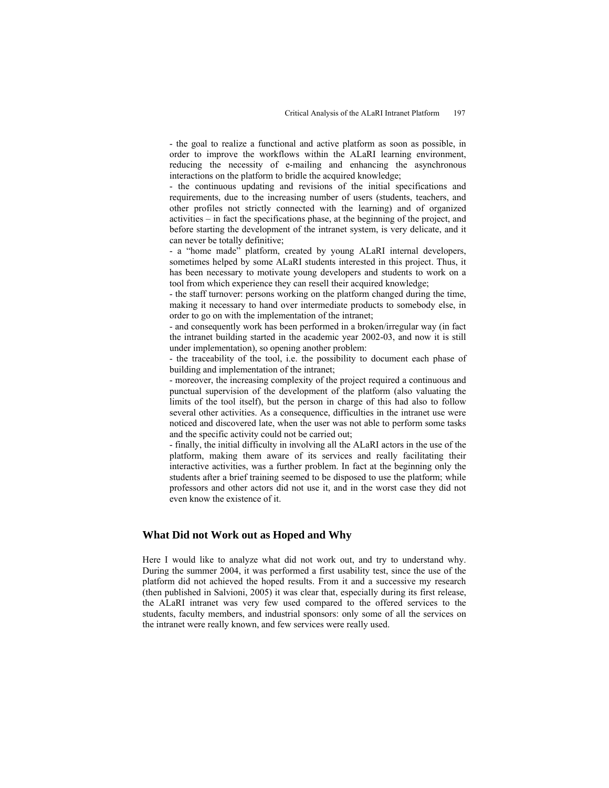- the goal to realize a functional and active platform as soon as possible, in order to improve the workflows within the ALaRI learning environment, reducing the necessity of e-mailing and enhancing the asynchronous interactions on the platform to bridle the acquired knowledge;

- the continuous updating and revisions of the initial specifications and requirements, due to the increasing number of users (students, teachers, and other profiles not strictly connected with the learning) and of organized activities – in fact the specifications phase, at the beginning of the project, and before starting the development of the intranet system, is very delicate, and it can never be totally definitive;

- a "home made" platform, created by young ALaRI internal developers, sometimes helped by some ALaRI students interested in this project. Thus, it has been necessary to motivate young developers and students to work on a tool from which experience they can resell their acquired knowledge;

- the staff turnover: persons working on the platform changed during the time, making it necessary to hand over intermediate products to somebody else, in order to go on with the implementation of the intranet;

- and consequently work has been performed in a broken/irregular way (in fact the intranet building started in the academic year 2002-03, and now it is still under implementation), so opening another problem:

- the traceability of the tool, i.e. the possibility to document each phase of building and implementation of the intranet;

- moreover, the increasing complexity of the project required a continuous and punctual supervision of the development of the platform (also valuating the limits of the tool itself), but the person in charge of this had also to follow several other activities. As a consequence, difficulties in the intranet use were noticed and discovered late, when the user was not able to perform some tasks and the specific activity could not be carried out;

- finally, the initial difficulty in involving all the ALaRI actors in the use of the platform, making them aware of its services and really facilitating their interactive activities, was a further problem. In fact at the beginning only the students after a brief training seemed to be disposed to use the platform; while professors and other actors did not use it, and in the worst case they did not even know the existence of it.

### **What Did not Work out as Hoped and Why**

Here I would like to analyze what did not work out, and try to understand why. During the summer 2004, it was performed a first usability test, since the use of the platform did not achieved the hoped results. From it and a successive my research (then published in Salvioni, 2005) it was clear that, especially during its first release, the ALaRI intranet was very few used compared to the offered services to the students, faculty members, and industrial sponsors: only some of all the services on the intranet were really known, and few services were really used.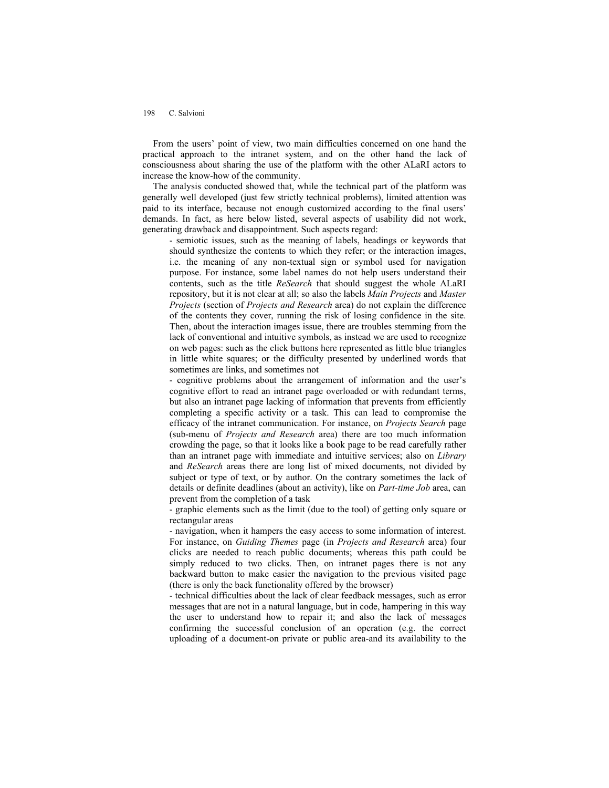From the users' point of view, two main difficulties concerned on one hand the practical approach to the intranet system, and on the other hand the lack of consciousness about sharing the use of the platform with the other ALaRI actors to increase the know-how of the community.

The analysis conducted showed that, while the technical part of the platform was generally well developed (just few strictly technical problems), limited attention was paid to its interface, because not enough customized according to the final users' demands. In fact, as here below listed, several aspects of usability did not work, generating drawback and disappointment. Such aspects regard:

- semiotic issues, such as the meaning of labels, headings or keywords that should synthesize the contents to which they refer; or the interaction images, i.e. the meaning of any non-textual sign or symbol used for navigation purpose. For instance, some label names do not help users understand their contents, such as the title *ReSearch* that should suggest the whole ALaRI repository, but it is not clear at all; so also the labels *Main Projects* and *Master Projects* (section of *Projects and Research* area) do not explain the difference of the contents they cover, running the risk of losing confidence in the site. Then, about the interaction images issue, there are troubles stemming from the lack of conventional and intuitive symbols, as instead we are used to recognize on web pages: such as the click buttons here represented as little blue triangles in little white squares; or the difficulty presented by underlined words that sometimes are links, and sometimes not

- cognitive problems about the arrangement of information and the user's cognitive effort to read an intranet page overloaded or with redundant terms, but also an intranet page lacking of information that prevents from efficiently completing a specific activity or a task. This can lead to compromise the efficacy of the intranet communication. For instance, on *Projects Search* page (sub-menu of *Projects and Research* area) there are too much information crowding the page, so that it looks like a book page to be read carefully rather than an intranet page with immediate and intuitive services; also on *Library*  and *ReSearch* areas there are long list of mixed documents, not divided by subject or type of text, or by author. On the contrary sometimes the lack of details or definite deadlines (about an activity), like on *Part-time Job* area, can prevent from the completion of a task

- graphic elements such as the limit (due to the tool) of getting only square or rectangular areas

- navigation, when it hampers the easy access to some information of interest. For instance, on *Guiding Themes* page (in *Projects and Research* area) four clicks are needed to reach public documents; whereas this path could be simply reduced to two clicks. Then, on intranet pages there is not any backward button to make easier the navigation to the previous visited page (there is only the back functionality offered by the browser)

- technical difficulties about the lack of clear feedback messages, such as error messages that are not in a natural language, but in code, hampering in this way the user to understand how to repair it; and also the lack of messages confirming the successful conclusion of an operation (e.g. the correct uploading of a document-on private or public area-and its availability to the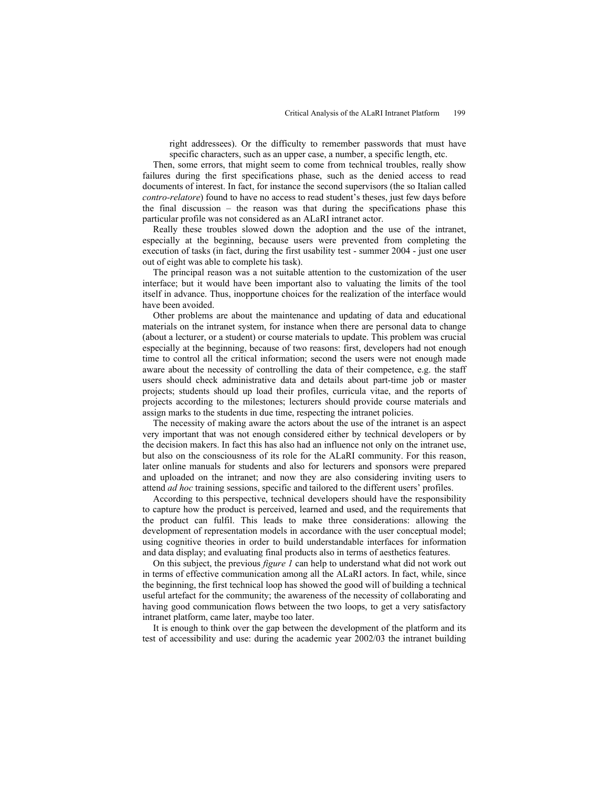right addressees). Or the difficulty to remember passwords that must have specific characters, such as an upper case, a number, a specific length, etc.

Then, some errors, that might seem to come from technical troubles, really show failures during the first specifications phase, such as the denied access to read documents of interest. In fact, for instance the second supervisors (the so Italian called *contro-relatore*) found to have no access to read student's theses, just few days before the final discussion – the reason was that during the specifications phase this particular profile was not considered as an ALaRI intranet actor.

Really these troubles slowed down the adoption and the use of the intranet, especially at the beginning, because users were prevented from completing the execution of tasks (in fact, during the first usability test - summer 2004 - just one user out of eight was able to complete his task).

The principal reason was a not suitable attention to the customization of the user interface; but it would have been important also to valuating the limits of the tool itself in advance. Thus, inopportune choices for the realization of the interface would have been avoided.

Other problems are about the maintenance and updating of data and educational materials on the intranet system, for instance when there are personal data to change (about a lecturer, or a student) or course materials to update. This problem was crucial especially at the beginning, because of two reasons: first, developers had not enough time to control all the critical information; second the users were not enough made aware about the necessity of controlling the data of their competence, e.g. the staff users should check administrative data and details about part-time job or master projects; students should up load their profiles, curricula vitae, and the reports of projects according to the milestones; lecturers should provide course materials and assign marks to the students in due time, respecting the intranet policies.

The necessity of making aware the actors about the use of the intranet is an aspect very important that was not enough considered either by technical developers or by the decision makers. In fact this has also had an influence not only on the intranet use, but also on the consciousness of its role for the ALaRI community. For this reason, later online manuals for students and also for lecturers and sponsors were prepared and uploaded on the intranet; and now they are also considering inviting users to attend *ad hoc* training sessions, specific and tailored to the different users' profiles.

According to this perspective, technical developers should have the responsibility to capture how the product is perceived, learned and used, and the requirements that the product can fulfil. This leads to make three considerations: allowing the development of representation models in accordance with the user conceptual model; using cognitive theories in order to build understandable interfaces for information and data display; and evaluating final products also in terms of aesthetics features.

On this subject, the previous *figure 1* can help to understand what did not work out in terms of effective communication among all the ALaRI actors. In fact, while, since the beginning, the first technical loop has showed the good will of building a technical useful artefact for the community; the awareness of the necessity of collaborating and having good communication flows between the two loops, to get a very satisfactory intranet platform, came later, maybe too later.

It is enough to think over the gap between the development of the platform and its test of accessibility and use: during the academic year 2002/03 the intranet building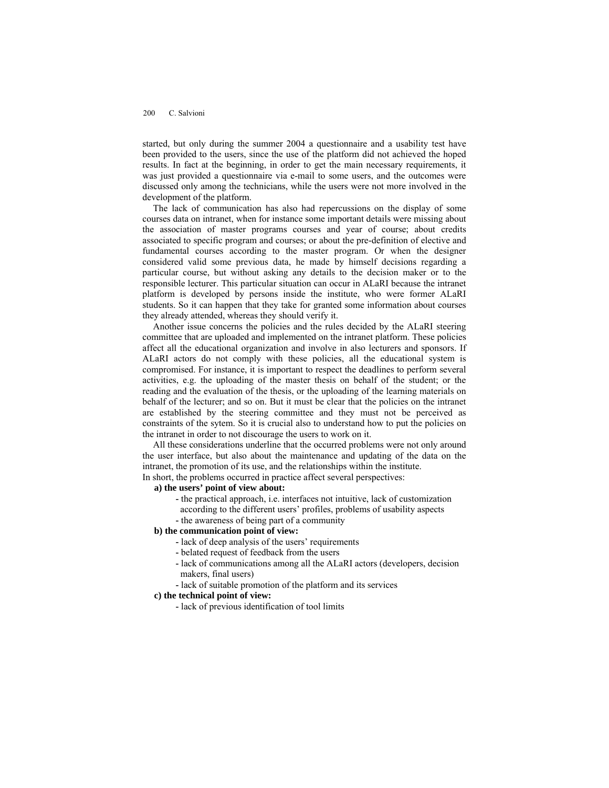started, but only during the summer 2004 a questionnaire and a usability test have been provided to the users, since the use of the platform did not achieved the hoped results. In fact at the beginning, in order to get the main necessary requirements, it was just provided a questionnaire via e-mail to some users, and the outcomes were discussed only among the technicians, while the users were not more involved in the development of the platform.

The lack of communication has also had repercussions on the display of some courses data on intranet, when for instance some important details were missing about the association of master programs courses and year of course; about credits associated to specific program and courses; or about the pre-definition of elective and fundamental courses according to the master program. Or when the designer considered valid some previous data, he made by himself decisions regarding a particular course, but without asking any details to the decision maker or to the responsible lecturer. This particular situation can occur in ALaRI because the intranet platform is developed by persons inside the institute, who were former ALaRI students. So it can happen that they take for granted some information about courses they already attended, whereas they should verify it.

Another issue concerns the policies and the rules decided by the ALaRI steering committee that are uploaded and implemented on the intranet platform. These policies affect all the educational organization and involve in also lecturers and sponsors. If ALaRI actors do not comply with these policies, all the educational system is compromised. For instance, it is important to respect the deadlines to perform several activities, e.g. the uploading of the master thesis on behalf of the student; or the reading and the evaluation of the thesis, or the uploading of the learning materials on behalf of the lecturer; and so on. But it must be clear that the policies on the intranet are established by the steering committee and they must not be perceived as constraints of the sytem. So it is crucial also to understand how to put the policies on the intranet in order to not discourage the users to work on it.

All these considerations underline that the occurred problems were not only around the user interface, but also about the maintenance and updating of the data on the intranet, the promotion of its use, and the relationships within the institute.

In short, the problems occurred in practice affect several perspectives:

- **a) the users' point of view about:** 
	- the practical approach, i.e. interfaces not intuitive, lack of customization according to the different users' profiles, problems of usability aspects
	- the awareness of being part of a community

#### **b) the communication point of view:**

- lack of deep analysis of the users' requirements
- belated request of feedback from the users
- lack of communications among all the ALaRI actors (developers, decision makers, final users)
- lack of suitable promotion of the platform and its services

#### **c) the technical point of view:**

**-** lack of previous identification of tool limits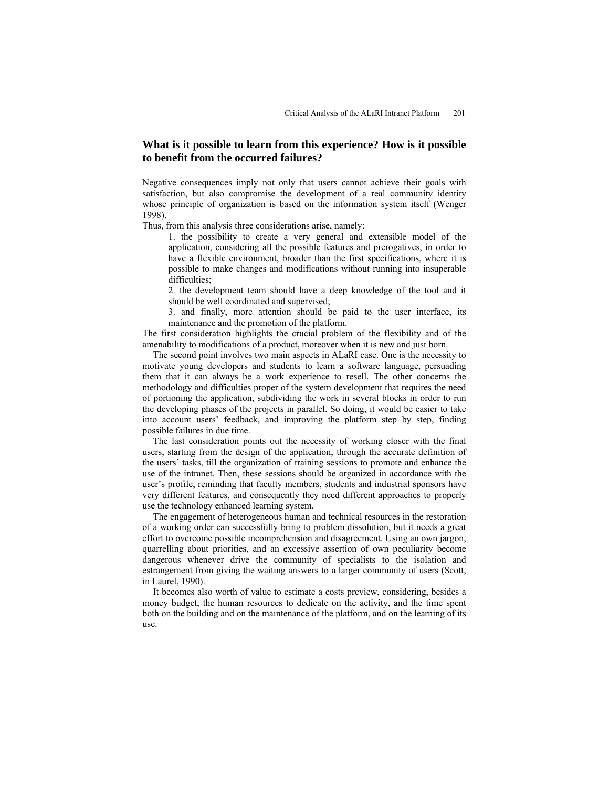# **What is it possible to learn from this experience? How is it possible to benefit from the occurred failures?**

Negative consequences imply not only that users cannot achieve their goals with satisfaction, but also compromise the development of a real community identity whose principle of organization is based on the information system itself (Wenger 1998).

Thus, from this analysis three considerations arise, namely:

1. the possibility to create a very general and extensible model of the application, considering all the possible features and prerogatives, in order to have a flexible environment, broader than the first specifications, where it is possible to make changes and modifications without running into insuperable difficulties;

2. the development team should have a deep knowledge of the tool and it should be well coordinated and supervised;

3. and finally, more attention should be paid to the user interface, its maintenance and the promotion of the platform.

The first consideration highlights the crucial problem of the flexibility and of the amenability to modifications of a product, moreover when it is new and just born.

The second point involves two main aspects in ALaRI case. One is the necessity to motivate young developers and students to learn a software language, persuading them that it can always be a work experience to resell. The other concerns the methodology and difficulties proper of the system development that requires the need of portioning the application, subdividing the work in several blocks in order to run the developing phases of the projects in parallel. So doing, it would be easier to take into account users' feedback, and improving the platform step by step, finding possible failures in due time.

The last consideration points out the necessity of working closer with the final users, starting from the design of the application, through the accurate definition of the users' tasks, till the organization of training sessions to promote and enhance the use of the intranet. Then, these sessions should be organized in accordance with the user's profile, reminding that faculty members, students and industrial sponsors have very different features, and consequently they need different approaches to properly use the technology enhanced learning system.

The engagement of heterogeneous human and technical resources in the restoration of a working order can successfully bring to problem dissolution, but it needs a great effort to overcome possible incomprehension and disagreement. Using an own jargon, quarrelling about priorities, and an excessive assertion of own peculiarity become dangerous whenever drive the community of specialists to the isolation and estrangement from giving the waiting answers to a larger community of users (Scott, in Laurel, 1990).

It becomes also worth of value to estimate a costs preview, considering, besides a money budget, the human resources to dedicate on the activity, and the time spent both on the building and on the maintenance of the platform, and on the learning of its use.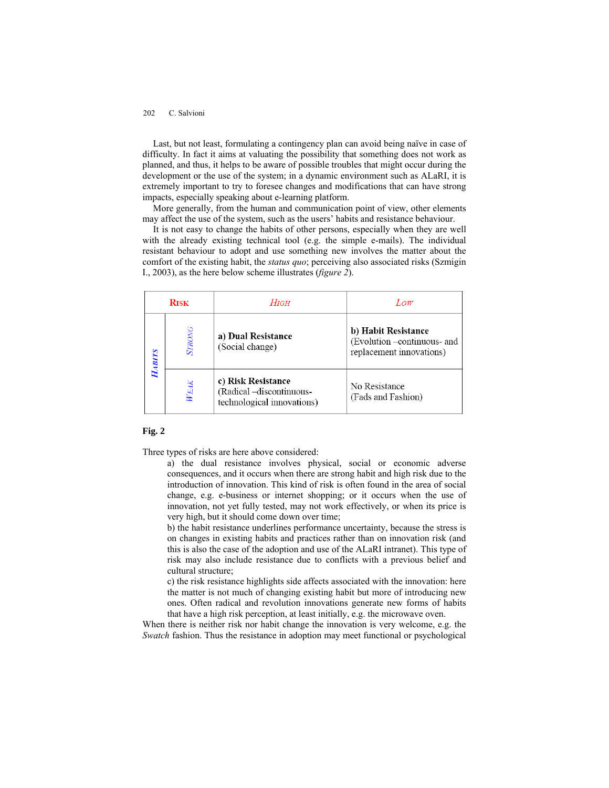Last, but not least, formulating a contingency plan can avoid being naïve in case of difficulty. In fact it aims at valuating the possibility that something does not work as planned, and thus, it helps to be aware of possible troubles that might occur during the development or the use of the system; in a dynamic environment such as ALaRI, it is extremely important to try to foresee changes and modifications that can have strong impacts, especially speaking about e-learning platform.

More generally, from the human and communication point of view, other elements may affect the use of the system, such as the users' habits and resistance behaviour.

It is not easy to change the habits of other persons, especially when they are well with the already existing technical tool (e.g. the simple e-mails). The individual resistant behaviour to adopt and use something new involves the matter about the comfort of the existing habit, the *status quo*; perceiving also associated risks (Szmigin I., 2003), as the here below scheme illustrates (*figure 2*).

| <b>RISK</b>  |               | $H$ IGH                                                                      | Low                                                                            |
|--------------|---------------|------------------------------------------------------------------------------|--------------------------------------------------------------------------------|
| <b>ABITS</b> | <b>STRONG</b> | a) Dual Resistance<br>(Social change)                                        | b) Habit Resistance<br>(Evolution -continuous- and<br>replacement innovations) |
|              | WEAK          | c) Risk Resistance<br>(Radical -discontinuous-<br>technological innovations) | No Resistance<br>(Fads and Fashion)                                            |

### **Fig. 2**

Three types of risks are here above considered:

a) the dual resistance involves physical, social or economic adverse consequences, and it occurs when there are strong habit and high risk due to the introduction of innovation. This kind of risk is often found in the area of social change, e.g. e-business or internet shopping; or it occurs when the use of innovation, not yet fully tested, may not work effectively, or when its price is very high, but it should come down over time;

b) the habit resistance underlines performance uncertainty, because the stress is on changes in existing habits and practices rather than on innovation risk (and this is also the case of the adoption and use of the ALaRI intranet). This type of risk may also include resistance due to conflicts with a previous belief and cultural structure;

c) the risk resistance highlights side affects associated with the innovation: here the matter is not much of changing existing habit but more of introducing new ones. Often radical and revolution innovations generate new forms of habits that have a high risk perception, at least initially, e.g. the microwave oven.

When there is neither risk nor habit change the innovation is very welcome, e.g. the *Swatch* fashion. Thus the resistance in adoption may meet functional or psychological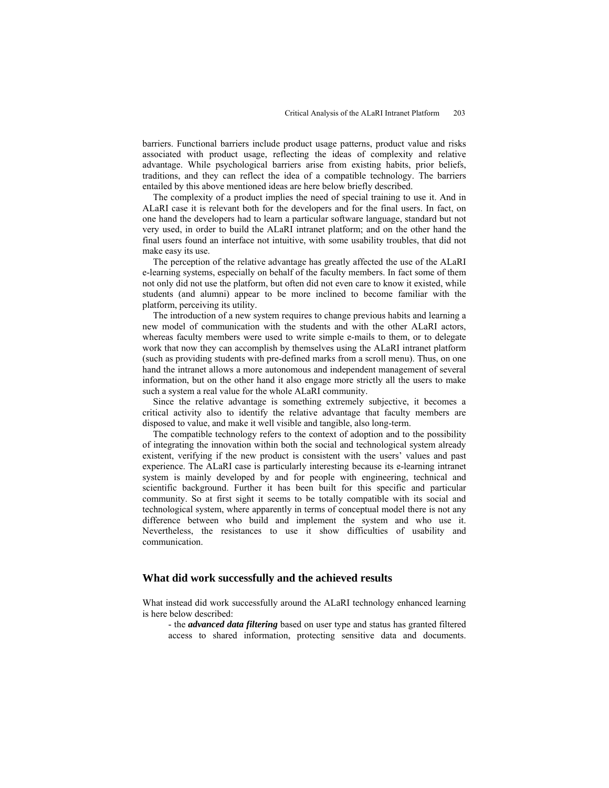barriers. Functional barriers include product usage patterns, product value and risks associated with product usage, reflecting the ideas of complexity and relative advantage. While psychological barriers arise from existing habits, prior beliefs, traditions, and they can reflect the idea of a compatible technology. The barriers entailed by this above mentioned ideas are here below briefly described.

The complexity of a product implies the need of special training to use it. And in ALaRI case it is relevant both for the developers and for the final users. In fact, on one hand the developers had to learn a particular software language, standard but not very used, in order to build the ALaRI intranet platform; and on the other hand the final users found an interface not intuitive, with some usability troubles, that did not make easy its use.

The perception of the relative advantage has greatly affected the use of the ALaRI e-learning systems, especially on behalf of the faculty members. In fact some of them not only did not use the platform, but often did not even care to know it existed, while students (and alumni) appear to be more inclined to become familiar with the platform, perceiving its utility.

The introduction of a new system requires to change previous habits and learning a new model of communication with the students and with the other ALaRI actors, whereas faculty members were used to write simple e-mails to them, or to delegate work that now they can accomplish by themselves using the ALaRI intranet platform (such as providing students with pre-defined marks from a scroll menu). Thus, on one hand the intranet allows a more autonomous and independent management of several information, but on the other hand it also engage more strictly all the users to make such a system a real value for the whole ALaRI community.

Since the relative advantage is something extremely subjective, it becomes a critical activity also to identify the relative advantage that faculty members are disposed to value, and make it well visible and tangible, also long-term.

The compatible technology refers to the context of adoption and to the possibility of integrating the innovation within both the social and technological system already existent, verifying if the new product is consistent with the users' values and past experience. The ALaRI case is particularly interesting because its e-learning intranet system is mainly developed by and for people with engineering, technical and scientific background. Further it has been built for this specific and particular community. So at first sight it seems to be totally compatible with its social and technological system, where apparently in terms of conceptual model there is not any difference between who build and implement the system and who use it. Nevertheless, the resistances to use it show difficulties of usability and communication.

#### **What did work successfully and the achieved results**

What instead did work successfully around the ALaRI technology enhanced learning is here below described:

- the *advanced data filtering* based on user type and status has granted filtered access to shared information, protecting sensitive data and documents.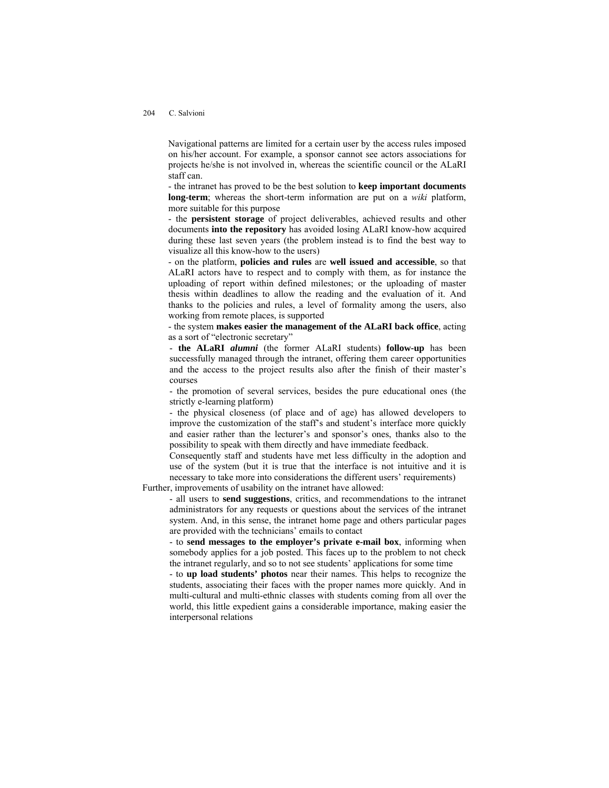Navigational patterns are limited for a certain user by the access rules imposed on his/her account. For example, a sponsor cannot see actors associations for projects he/she is not involved in, whereas the scientific council or the ALaRI staff can.

- the intranet has proved to be the best solution to **keep important documents long-term**; whereas the short-term information are put on a *wiki* platform, more suitable for this purpose

- the **persistent storage** of project deliverables, achieved results and other documents **into the repository** has avoided losing ALaRI know-how acquired during these last seven years (the problem instead is to find the best way to visualize all this know-how to the users)

- on the platform, **policies and rules** are **well issued and accessible**, so that ALaRI actors have to respect and to comply with them, as for instance the uploading of report within defined milestones; or the uploading of master thesis within deadlines to allow the reading and the evaluation of it. And thanks to the policies and rules, a level of formality among the users, also working from remote places, is supported

- the system **makes easier the management of the ALaRI back office**, acting as a sort of "electronic secretary"

- **the ALaRI** *alumni* (the former ALaRI students) **follow-up** has been successfully managed through the intranet, offering them career opportunities and the access to the project results also after the finish of their master's courses

- the promotion of several services, besides the pure educational ones (the strictly e-learning platform)

- the physical closeness (of place and of age) has allowed developers to improve the customization of the staff's and student's interface more quickly and easier rather than the lecturer's and sponsor's ones, thanks also to the possibility to speak with them directly and have immediate feedback.

Consequently staff and students have met less difficulty in the adoption and use of the system (but it is true that the interface is not intuitive and it is necessary to take more into considerations the different users' requirements)

Further, improvements of usability on the intranet have allowed:

- all users to **send suggestions**, critics, and recommendations to the intranet administrators for any requests or questions about the services of the intranet system. And, in this sense, the intranet home page and others particular pages are provided with the technicians' emails to contact

- to **send messages to the employer's private e-mail box**, informing when somebody applies for a job posted. This faces up to the problem to not check the intranet regularly, and so to not see students' applications for some time

- to **up load students' photos** near their names. This helps to recognize the students, associating their faces with the proper names more quickly. And in multi-cultural and multi-ethnic classes with students coming from all over the world, this little expedient gains a considerable importance, making easier the interpersonal relations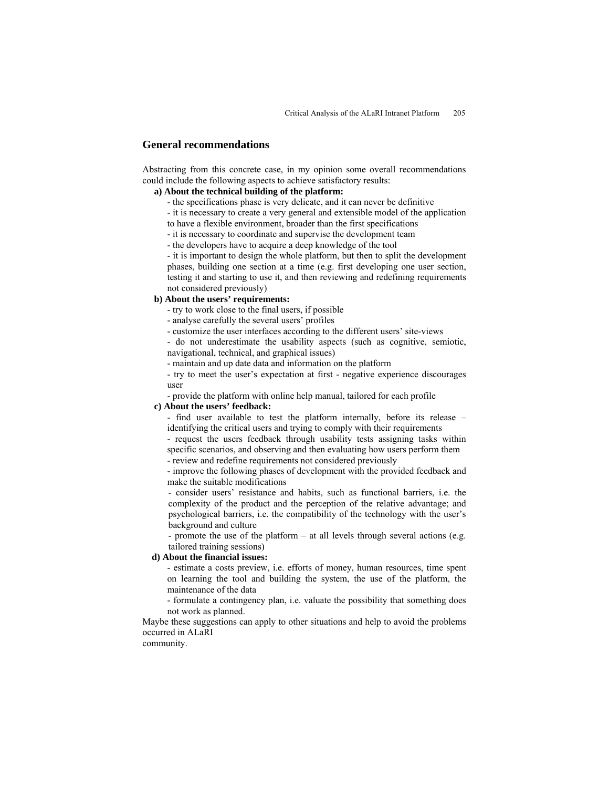# **General recommendations**

Abstracting from this concrete case, in my opinion some overall recommendations could include the following aspects to achieve satisfactory results:

### **a) About the technical building of the platform:**

- the specifications phase is very delicate, and it can never be definitive
- it is necessary to create a very general and extensible model of the application
- to have a flexible environment, broader than the first specifications
- it is necessary to coordinate and supervise the development team
- the developers have to acquire a deep knowledge of the tool

- it is important to design the whole platform, but then to split the development phases, building one section at a time (e.g. first developing one user section, testing it and starting to use it, and then reviewing and redefining requirements not considered previously)

### **b) About the users' requirements:**

- try to work close to the final users, if possible

- analyse carefully the several users' profiles

- customize the user interfaces according to the different users' site-views

- do not underestimate the usability aspects (such as cognitive, semiotic, navigational, technical, and graphical issues)

- maintain and up date data and information on the platform

- try to meet the user's expectation at first - negative experience discourages user

- provide the platform with online help manual, tailored for each profile

# **c) About the users' feedback:**

- find user available to test the platform internally, before its release – identifying the critical users and trying to comply with their requirements

- request the users feedback through usability tests assigning tasks within specific scenarios, and observing and then evaluating how users perform them - review and redefine requirements not considered previously

- improve the following phases of development with the provided feedback and make the suitable modifications

- consider users' resistance and habits, such as functional barriers, i.e. the complexity of the product and the perception of the relative advantage; and psychological barriers, i.e. the compatibility of the technology with the user's background and culture

- promote the use of the platform – at all levels through several actions (e.g. tailored training sessions)

### **d) About the financial issues:**

- estimate a costs preview, i.e. efforts of money, human resources, time spent on learning the tool and building the system, the use of the platform, the maintenance of the data

- formulate a contingency plan, i.e. valuate the possibility that something does not work as planned.

Maybe these suggestions can apply to other situations and help to avoid the problems occurred in ALaRI

community.